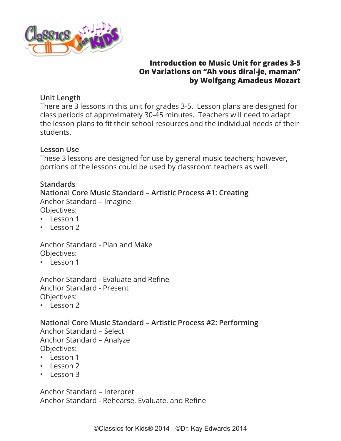

#### **Introduction to Music Unit for grades 3-5 On Variations on "Ah vous dirai-je, maman" by Wolfgang Amadeus Mozart**

## **Unit Length**

There are 3 lessons in this unit for grades 3-5. Lesson plans are designed for class periods of approximately 30-45 minutes. Teachers will need to adapt the lesson plans to fit their school resources and the individual needs of their students.

## **Lesson Use**

These 3 lessons are designed for use by general music teachers; however, portions of the lessons could be used by classroom teachers as well.

## **Standards**

#### **National Core Music Standard – Artistic Process #1: Creating** Anchor Standard – Imagine

Objectives:

- Lesson 1
- Lesson 2

Anchor Standard - Plan and Make Objectives:

• Lesson 1

Anchor Standard - Evaluate and Refine Anchor Standard - Present Objectives:

• Lesson 2

# **National Core Music Standard – Artistic Process #2: Performing**

Anchor Standard – Select Anchor Standard – Analyze Objectives:

- Lesson 1
- Lesson 2
- Lesson 3

Anchor Standard – Interpret Anchor Standard - Rehearse, Evaluate, and Refine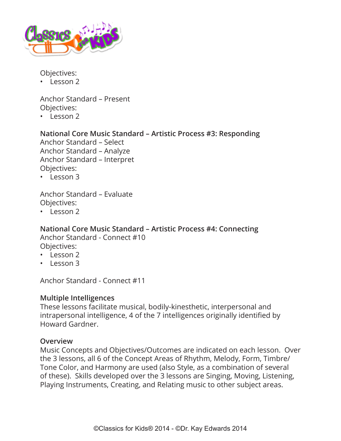

Objectives:

• Lesson 2

Anchor Standard – Present Objectives:

• Lesson 2

## **National Core Music Standard – Artistic Process #3: Responding**

Anchor Standard – Select Anchor Standard – Analyze Anchor Standard – Interpret Objectives:

• Lesson 3

Anchor Standard – Evaluate Objectives:

• Lesson 2

#### **National Core Music Standard – Artistic Process #4: Connecting** Anchor Standard - Connect #10

Objectives:

- Lesson 2
- Lesson 3

Anchor Standard - Connect #11

## **Multiple Intelligences**

These lessons facilitate musical, bodily-kinesthetic, interpersonal and intrapersonal intelligence, 4 of the 7 intelligences originally identified by Howard Gardner.

#### **Overview**

Music Concepts and Objectives/Outcomes are indicated on each lesson. Over the 3 lessons, all 6 of the Concept Areas of Rhythm, Melody, Form, Timbre/ Tone Color, and Harmony are used (also Style, as a combination of several of these). Skills developed over the 3 lessons are Singing, Moving, Listening, Playing Instruments, Creating, and Relating music to other subject areas.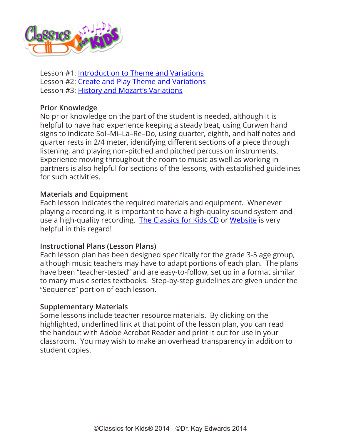

Lesson #1: [Introduction to Theme and Variations](#page-4-0) Lesson #2: [Create and Play Theme and Variations](#page-10-0) Lesson #3: [History and Mozart's Variations](#page-17-0)

#### **Prior Knowledge**

No prior knowledge on the part of the student is needed, although it is helpful to have had experience keeping a steady beat, using Curwen hand signs to indicate Sol–Mi–La–Re–Do, using quarter, eighth, and half notes and quarter rests in 2/4 meter, identifying different sections of a piece through listening, and playing non-pitched and pitched percussion instruments. Experience moving throughout the room to music as well as working in partners is also helpful for sections of the lessons, with established guidelines for such activities.

#### **Materials and Equipment**

Each lesson indicates the required materials and equipment. Whenever playing a recording, it is important to have a high-quality sound system and use a high-quality recording. [The Classics for Kids CD](https://www.classicsforkids.com/more/cfk_cd.html) or [Website](https://www.classicsforkids.com/) is very helpful in this regard!

#### **Instructional Plans (Lesson Plans)**

Each lesson plan has been designed specifically for the grade 3-5 age group, although music teachers may have to adapt portions of each plan. The plans have been "teacher-tested" and are easy-to-follow, set up in a format similar to many music series textbooks. Step-by-step guidelines are given under the "Sequence" portion of each lesson.

#### **Supplementary Materials**

Some lessons include teacher resource materials. By clicking on the highlighted, underlined link at that point of the lesson plan, you can read the handout with Adobe Acrobat Reader and print it out for use in your classroom. You may wish to make an overhead transparency in addition to student copies.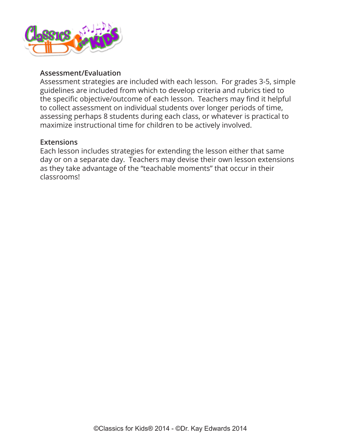

#### **Assessment/Evaluation**

Assessment strategies are included with each lesson. For grades 3-5, simple guidelines are included from which to develop criteria and rubrics tied to the specific objective/outcome of each lesson. Teachers may find it helpful to collect assessment on individual students over longer periods of time, assessing perhaps 8 students during each class, or whatever is practical to maximize instructional time for children to be actively involved.

#### **Extensions**

Each lesson includes strategies for extending the lesson either that same day or on a separate day. Teachers may devise their own lesson extensions as they take advantage of the "teachable moments" that occur in their classrooms!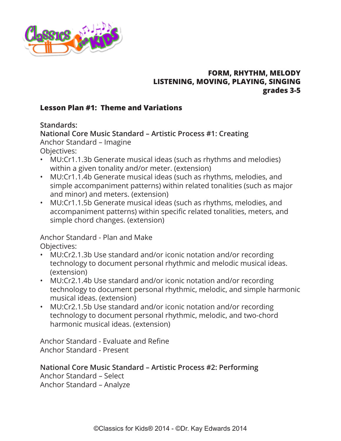<span id="page-4-0"></span>

## **FORM, RHYTHM, MELODY LISTENING, MOVING, PLAYING, SINGING grades 3-5**

## **Lesson Plan #1: Theme and Variations**

**Standards:**

**National Core Music Standard – Artistic Process #1: Creating** Anchor Standard – Imagine Objectives:

- MU:Cr1.1.3b Generate musical ideas (such as rhythms and melodies) within a given tonality and/or meter. (extension)
- MU:Cr1.1.4b Generate musical ideas (such as rhythms, melodies, and simple accompaniment patterns) within related tonalities (such as major and minor) and meters. (extension)
- MU:Cr1.1.5b Generate musical ideas (such as rhythms, melodies, and accompaniment patterns) within specific related tonalities, meters, and simple chord changes. (extension)

Anchor Standard - Plan and Make Objectives:

- MU:Cr2.1.3b Use standard and/or iconic notation and/or recording technology to document personal rhythmic and melodic musical ideas. (extension)
- MU:Cr2.1.4b Use standard and/or iconic notation and/or recording technology to document personal rhythmic, melodic, and simple harmonic musical ideas. (extension)
- MU:Cr2.1.5b Use standard and/or iconic notation and/or recording technology to document personal rhythmic, melodic, and two-chord harmonic musical ideas. (extension)

Anchor Standard - Evaluate and Refine Anchor Standard - Present

# **National Core Music Standard – Artistic Process #2: Performing**

Anchor Standard – Select Anchor Standard – Analyze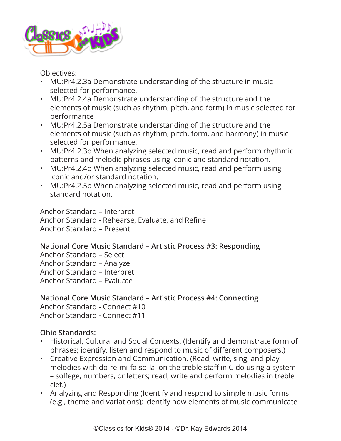

Objectives:

- MU:Pr4.2.3a Demonstrate understanding of the structure in music selected for performance.
- MU:Pr4.2.4a Demonstrate understanding of the structure and the elements of music (such as rhythm, pitch, and form) in music selected for performance
- MU:Pr4.2.5a Demonstrate understanding of the structure and the elements of music (such as rhythm, pitch, form, and harmony) in music selected for performance.
- MU:Pr4.2.3b When analyzing selected music, read and perform rhythmic patterns and melodic phrases using iconic and standard notation.
- MU:Pr4.2.4b When analyzing selected music, read and perform using iconic and/or standard notation.
- MU:Pr4.2.5b When analyzing selected music, read and perform using standard notation.

Anchor Standard – Interpret Anchor Standard - Rehearse, Evaluate, and Refine Anchor Standard – Present

# **National Core Music Standard – Artistic Process #3: Responding**

Anchor Standard – Select Anchor Standard – Analyze Anchor Standard – Interpret Anchor Standard – Evaluate

**National Core Music Standard – Artistic Process #4: Connecting** Anchor Standard - Connect #10 Anchor Standard - Connect #11

# **Ohio Standards:**

- Historical, Cultural and Social Contexts. (Identify and demonstrate form of phrases; identify, listen and respond to music of different composers.)
- Creative Expression and Communication. (Read, write, sing, and play melodies with do-re-mi-fa-so-la on the treble staff in C-do using a system – solfege, numbers, or letters; read, write and perform melodies in treble clef.)
- Analyzing and Responding (Identify and respond to simple music forms (e.g., theme and variations); identify how elements of music communicate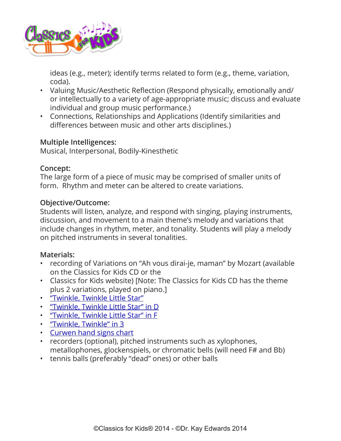

ideas (e.g., meter); identify terms related to form (e.g., theme, variation, coda).

- Valuing Music/Aesthetic Reflection (Respond physically, emotionally and/ or intellectually to a variety of age-appropriate music; discuss and evaluate individual and group music performance.)
- Connections, Relationships and Applications (Identify similarities and differences between music and other arts disciplines.)

#### **Multiple Intelligences:**

Musical, Interpersonal, Bodily-Kinesthetic

#### **Concept:**

The large form of a piece of music may be comprised of smaller units of form. Rhythm and meter can be altered to create variations.

#### **Objective/Outcome:**

Students will listen, analyze, and respond with singing, playing instruments, discussion, and movement to a main theme's melody and variations that include changes in rhythm, meter, and tonality. Students will play a melody on pitched instruments in several tonalities.

## **Materials:**

- recording of Variations on "Ah vous dirai-je, maman" by Mozart (available on the Classics for Kids CD or the
- Classics for Kids website) [Note: The Classics for Kids CD has the theme plus 2 variations, played on piano.]
- ["Twinkle, Twinkle Little Star"](https://www.classicsforkids.com/downloads/mozart/TwinkleTwinkle.pdf)
- ["Twinkle, Twinkle Little Star" in D](https://www.classicsforkids.com/downloads/mozart/TwinkleTwinkle_DMajor.pdf)
- ["Twinkle, Twinkle Little Star" in F](https://www.classicsforkids.com/downloads/mozart/TwinkleTwinkle_FMajor.pdf)
- ["Twinkle, Twinkle" in 3](https://www.classicsforkids.com/downloads/mozart/TwinkleTwinkle_inThree.pdf)
- [Curwen hand signs chart](https://www.classicsforkids.com/downloads/kodaly/KodalyHandSigns.pdf)
- recorders (optional), pitched instruments such as xylophones, metallophones, glockenspiels, or chromatic bells (will need F# and Bb)
- tennis balls (preferably "dead" ones) or other balls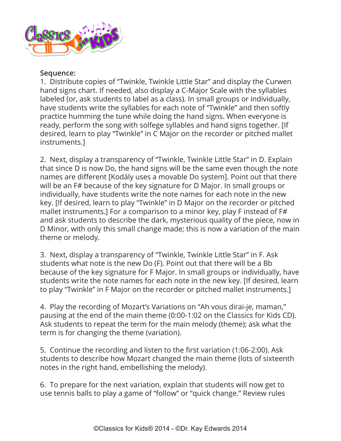

#### **Sequence:**

1. Distribute copies of "Twinkle, Twinkle Little Star" and display the Curwen hand signs chart. If needed, also display a C-Major Scale with the syllables labeled (or, ask students to label as a class). In small groups or individually, have students write the syllables for each note of "Twinkle" and then softly practice humming the tune while doing the hand signs. When everyone is ready, perform the song with solfege syllables and hand signs together. [If desired, learn to play "Twinkle" in C Major on the recorder or pitched mallet instruments.]

2. Next, display a transparency of "Twinkle, Twinkle Little Star" in D. Explain that since D is now Do, the hand signs will be the same even though the note names are different [Kodály uses a movable Do system]. Point out that there will be an F# because of the key signature for D Major. In small groups or individually, have students write the note names for each note in the new key. [If desired, learn to play "Twinkle" in D Major on the recorder or pitched mallet instruments.] For a comparison to a minor key, play F instead of F# and ask students to describe the dark, mysterious quality of the piece, now in D Minor, with only this small change made; this is now a variation of the main theme or melody.

3. Next, display a transparency of "Twinkle, Twinkle Little Star" in F. Ask students what note is the new Do (F). Point out that there will be a Bb because of the key signature for F Major. In small groups or individually, have students write the note names for each note in the new key. [If desired, learn to play "Twinkle" in F Major on the recorder or pitched mallet instruments.]

4. Play the recording of Mozart's Variations on "Ah vous dirai-je, maman," pausing at the end of the main theme (0:00-1:02 on the Classics for Kids CD). Ask students to repeat the term for the main melody (theme); ask what the term is for changing the theme (variation).

5. Continue the recording and listen to the first variation (1:06-2:00). Ask students to describe how Mozart changed the main theme (lots of sixteenth notes in the right hand, embellishing the melody).

6. To prepare for the next variation, explain that students will now get to use tennis balls to play a game of "follow" or "quick change." Review rules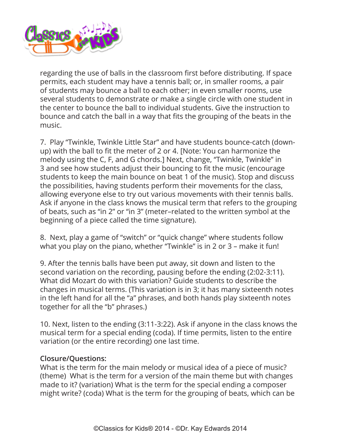

regarding the use of balls in the classroom first before distributing. If space permits, each student may have a tennis ball; or, in smaller rooms, a pair of students may bounce a ball to each other; in even smaller rooms, use several students to demonstrate or make a single circle with one student in the center to bounce the ball to individual students. Give the instruction to bounce and catch the ball in a way that fits the grouping of the beats in the music.

7. Play "Twinkle, Twinkle Little Star" and have students bounce-catch (downup) with the ball to fit the meter of 2 or 4. [Note: You can harmonize the melody using the C, F, and G chords.] Next, change, "Twinkle, Twinkle" in 3 and see how students adjust their bouncing to fit the music (encourage students to keep the main bounce on beat 1 of the music). Stop and discuss the possibilities, having students perform their movements for the class, allowing everyone else to try out various movements with their tennis balls. Ask if anyone in the class knows the musical term that refers to the grouping of beats, such as "in 2" or "in 3" (meter–related to the written symbol at the beginning of a piece called the time signature).

8. Next, play a game of "switch" or "quick change" where students follow what you play on the piano, whether "Twinkle" is in 2 or 3 – make it fun!

9. After the tennis balls have been put away, sit down and listen to the second variation on the recording, pausing before the ending (2:02-3:11). What did Mozart do with this variation? Guide students to describe the changes in musical terms. (This variation is in 3; it has many sixteenth notes in the left hand for all the "a" phrases, and both hands play sixteenth notes together for all the "b" phrases.)

10. Next, listen to the ending (3:11-3:22). Ask if anyone in the class knows the musical term for a special ending (coda). If time permits, listen to the entire variation (or the entire recording) one last time.

#### **Closure/Questions:**

What is the term for the main melody or musical idea of a piece of music? (theme) What is the term for a version of the main theme but with changes made to it? (variation) What is the term for the special ending a composer might write? (coda) What is the term for the grouping of beats, which can be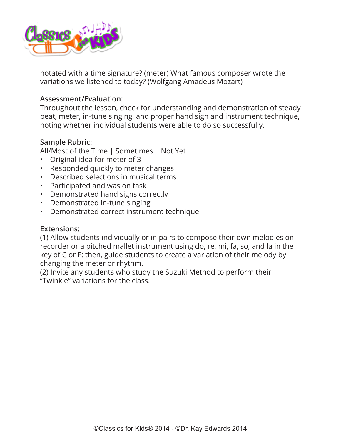

notated with a time signature? (meter) What famous composer wrote the variations we listened to today? (Wolfgang Amadeus Mozart)

#### **Assessment/Evaluation:**

Throughout the lesson, check for understanding and demonstration of steady beat, meter, in-tune singing, and proper hand sign and instrument technique, noting whether individual students were able to do so successfully.

#### **Sample Rubric:**

All/Most of the Time | Sometimes | Not Yet

- Original idea for meter of 3
- Responded quickly to meter changes
- Described selections in musical terms
- Participated and was on task
- Demonstrated hand signs correctly
- Demonstrated in-tune singing
- Demonstrated correct instrument technique

#### **Extensions:**

(1) Allow students individually or in pairs to compose their own melodies on recorder or a pitched mallet instrument using do, re, mi, fa, so, and la in the key of C or F; then, guide students to create a variation of their melody by changing the meter or rhythm.

(2) Invite any students who study the Suzuki Method to perform their "Twinkle" variations for the class.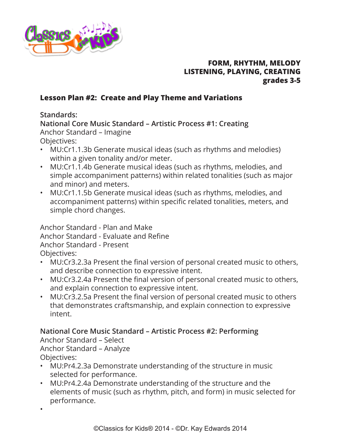<span id="page-10-0"></span>

## **FORM, RHYTHM, MELODY LISTENING, PLAYING, CREATING grades 3-5**

## **Lesson Plan #2: Create and Play Theme and Variations**

## **Standards:**

**National Core Music Standard – Artistic Process #1: Creating** Anchor Standard – Imagine Objectives:

- MU:Cr1.1.3b Generate musical ideas (such as rhythms and melodies) within a given tonality and/or meter.
- MU:Cr1.1.4b Generate musical ideas (such as rhythms, melodies, and simple accompaniment patterns) within related tonalities (such as major and minor) and meters.
- MU:Cr1.1.5b Generate musical ideas (such as rhythms, melodies, and accompaniment patterns) within specific related tonalities, meters, and simple chord changes.

Anchor Standard - Plan and Make Anchor Standard - Evaluate and Refine Anchor Standard - Present Objectives:

- MU:Cr3.2.3a Present the final version of personal created music to others, and describe connection to expressive intent.
- MU:Cr3.2.4a Present the final version of personal created music to others, and explain connection to expressive intent.
- MU:Cr3.2.5a Present the final version of personal created music to others that demonstrates craftsmanship, and explain connection to expressive intent.

# **National Core Music Standard – Artistic Process #2: Performing**

Anchor Standard – Select Anchor Standard – Analyze Objectives:

- MU:Pr4.2.3a Demonstrate understanding of the structure in music selected for performance.
- MU:Pr4.2.4a Demonstrate understanding of the structure and the elements of music (such as rhythm, pitch, and form) in music selected for performance.
- •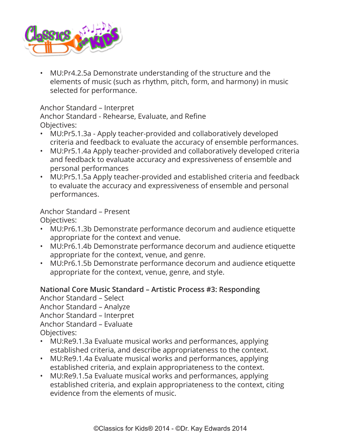

• MU:Pr4.2.5a Demonstrate understanding of the structure and the elements of music (such as rhythm, pitch, form, and harmony) in music selected for performance.

## Anchor Standard – Interpret

Anchor Standard - Rehearse, Evaluate, and Refine Objectives:

- MU:Pr5.1.3a Apply teacher-provided and collaboratively developed criteria and feedback to evaluate the accuracy of ensemble performances.
- MU:Pr5.1.4a Apply teacher-provided and collaboratively developed criteria and feedback to evaluate accuracy and expressiveness of ensemble and personal performances
- MU:Pr5.1.5a Apply teacher-provided and established criteria and feedback to evaluate the accuracy and expressiveness of ensemble and personal performances.

Anchor Standard – Present Objectives:

- MU:Pr6.1.3b Demonstrate performance decorum and audience etiquette appropriate for the context and venue.
- MU:Pr6.1.4b Demonstrate performance decorum and audience etiquette appropriate for the context, venue, and genre.
- MU:Pr6.1.5b Demonstrate performance decorum and audience etiquette appropriate for the context, venue, genre, and style.

# **National Core Music Standard – Artistic Process #3: Responding**

Anchor Standard – Select Anchor Standard – Analyze Anchor Standard – Interpret Anchor Standard – Evaluate Objectives:

- MU:Re9.1.3a Evaluate musical works and performances, applying established criteria, and describe appropriateness to the context.
- MU:Re9.1.4a Evaluate musical works and performances, applying established criteria, and explain appropriateness to the context.
- MU:Re9.1.5a Evaluate musical works and performances, applying established criteria, and explain appropriateness to the context, citing evidence from the elements of music.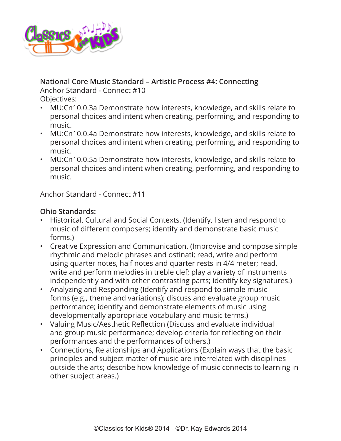

## **National Core Music Standard – Artistic Process #4: Connecting**

Anchor Standard - Connect #10 Objectives:

- MU:Cn10.0.3a Demonstrate how interests, knowledge, and skills relate to personal choices and intent when creating, performing, and responding to music.
- MU:Cn10.0.4a Demonstrate how interests, knowledge, and skills relate to personal choices and intent when creating, performing, and responding to music.
- MU:Cn10.0.5a Demonstrate how interests, knowledge, and skills relate to personal choices and intent when creating, performing, and responding to music.

Anchor Standard - Connect #11

## **Ohio Standards:**

- Historical, Cultural and Social Contexts. (Identify, listen and respond to music of different composers; identify and demonstrate basic music forms.)
- Creative Expression and Communication. (Improvise and compose simple rhythmic and melodic phrases and ostinati; read, write and perform using quarter notes, half notes and quarter rests in 4/4 meter; read, write and perform melodies in treble clef; play a variety of instruments independently and with other contrasting parts; identify key signatures.)
- Analyzing and Responding (Identify and respond to simple music forms (e.g., theme and variations); discuss and evaluate group music performance; identify and demonstrate elements of music using developmentally appropriate vocabulary and music terms.)
- Valuing Music/Aesthetic Reflection (Discuss and evaluate individual and group music performance; develop criteria for reflecting on their performances and the performances of others.)
- Connections, Relationships and Applications (Explain ways that the basic principles and subject matter of music are interrelated with disciplines outside the arts; describe how knowledge of music connects to learning in other subject areas.)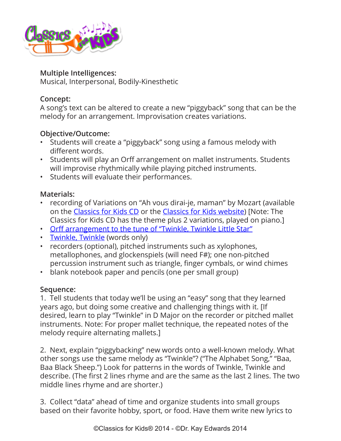

#### **Multiple Intelligences:**

Musical, Interpersonal, Bodily-Kinesthetic

## **Concept:**

A song's text can be altered to create a new "piggyback" song that can be the melody for an arrangement. Improvisation creates variations.

# **Objective/Outcome:**

- Students will create a "piggyback" song using a famous melody with different words.
- Students will play an Orff arrangement on mallet instruments. Students will improvise rhythmically while playing pitched instruments.
- Students will evaluate their performances.

## **Materials:**

- recording of Variations on "Ah vous dirai-je, maman" by Mozart (available on the [Classics for Kids CD](https://www.classicsforkids.com/more/cfk_cd.html) or the [Classics for Kids website](https://www.classicsforkids.com/)) [Note: The Classics for Kids CD has the theme plus 2 variations, played on piano.]
- [Orff arrangement to the tune of "Twinkle, Twinkle Little Star"](https://www.classicsforkids.com/downloads/mozart/Orff_ArrTwinkleTwinkle.mus.pdf)
- [Twinkle, Twinkle](https://www.classicsforkids.com/downloads/mozart/Twinkle%20Lyrics.pdf) (words only)
- recorders (optional), pitched instruments such as xylophones, metallophones, and glockenspiels (will need F#); one non-pitched percussion instrument such as triangle, finger cymbals, or wind chimes
- blank notebook paper and pencils (one per small group)

# **Sequence:**

1. Tell students that today we'll be using an "easy" song that they learned years ago, but doing some creative and challenging things with it. [If desired, learn to play "Twinkle" in D Major on the recorder or pitched mallet instruments. Note: For proper mallet technique, the repeated notes of the melody require alternating mallets.]

2. Next, explain "piggybacking" new words onto a well-known melody. What other songs use the same melody as "Twinkle"? ("The Alphabet Song," "Baa, Baa Black Sheep.") Look for patterns in the words of Twinkle, Twinkle and describe. (The first 2 lines rhyme and are the same as the last 2 lines. The two middle lines rhyme and are shorter.)

3. Collect "data" ahead of time and organize students into small groups based on their favorite hobby, sport, or food. Have them write new lyrics to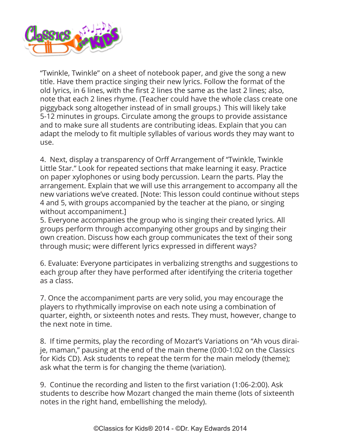

"Twinkle, Twinkle" on a sheet of notebook paper, and give the song a new title. Have them practice singing their new lyrics. Follow the format of the old lyrics, in 6 lines, with the first 2 lines the same as the last 2 lines; also, note that each 2 lines rhyme. (Teacher could have the whole class create one piggyback song altogether instead of in small groups.) This will likely take 5-12 minutes in groups. Circulate among the groups to provide assistance and to make sure all students are contributing ideas. Explain that you can adapt the melody to fit multiple syllables of various words they may want to use.

4. Next, display a transparency of Orff Arrangement of "Twinkle, Twinkle Little Star." Look for repeated sections that make learning it easy. Practice on paper xylophones or using body percussion. Learn the parts. Play the arrangement. Explain that we will use this arrangement to accompany all the new variations we've created. [Note: This lesson could continue without steps 4 and 5, with groups accompanied by the teacher at the piano, or singing without accompaniment.]

5. Everyone accompanies the group who is singing their created lyrics. All groups perform through accompanying other groups and by singing their own creation. Discuss how each group communicates the text of their song through music; were different lyrics expressed in different ways?

6. Evaluate: Everyone participates in verbalizing strengths and suggestions to each group after they have performed after identifying the criteria together as a class.

7. Once the accompaniment parts are very solid, you may encourage the players to rhythmically improvise on each note using a combination of quarter, eighth, or sixteenth notes and rests. They must, however, change to the next note in time.

8. If time permits, play the recording of Mozart's Variations on "Ah vous diraije, maman," pausing at the end of the main theme (0:00-1:02 on the Classics for Kids CD). Ask students to repeat the term for the main melody (theme); ask what the term is for changing the theme (variation).

9. Continue the recording and listen to the first variation (1:06-2:00). Ask students to describe how Mozart changed the main theme (lots of sixteenth notes in the right hand, embellishing the melody).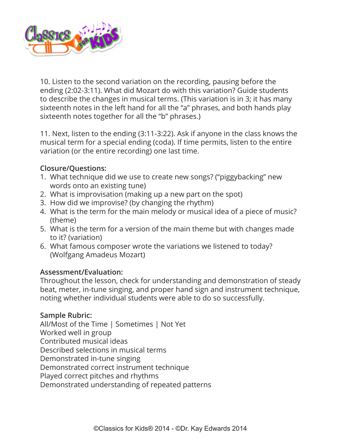

10. Listen to the second variation on the recording, pausing before the ending (2:02-3:11). What did Mozart do with this variation? Guide students to describe the changes in musical terms. (This variation is in 3; it has many sixteenth notes in the left hand for all the "a" phrases, and both hands play sixteenth notes together for all the "b" phrases.)

11. Next, listen to the ending (3:11-3:22). Ask if anyone in the class knows the musical term for a special ending (coda). If time permits, listen to the entire variation (or the entire recording) one last time.

## **Closure/Questions:**

- 1. What technique did we use to create new songs? ("piggybacking" new words onto an existing tune)
- 2. What is improvisation (making up a new part on the spot)
- 3. How did we improvise? (by changing the rhythm)
- 4. What is the term for the main melody or musical idea of a piece of music? (theme)
- 5. What is the term for a version of the main theme but with changes made to it? (variation)
- 6. What famous composer wrote the variations we listened to today? (Wolfgang Amadeus Mozart)

## **Assessment/Evaluation:**

Throughout the lesson, check for understanding and demonstration of steady beat, meter, in-tune singing, and proper hand sign and instrument technique, noting whether individual students were able to do so successfully.

## **Sample Rubric:**

All/Most of the Time | Sometimes | Not Yet Worked well in group Contributed musical ideas Described selections in musical terms Demonstrated in-tune singing Demonstrated correct instrument technique Played correct pitches and rhythms Demonstrated understanding of repeated patterns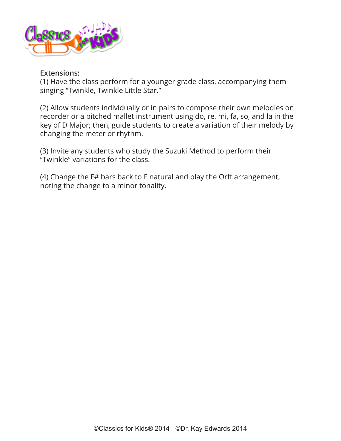

#### **Extensions:**

(1) Have the class perform for a younger grade class, accompanying them singing "Twinkle, Twinkle Little Star."

(2) Allow students individually or in pairs to compose their own melodies on recorder or a pitched mallet instrument using do, re, mi, fa, so, and la in the key of D Major; then, guide students to create a variation of their melody by changing the meter or rhythm.

(3) Invite any students who study the Suzuki Method to perform their "Twinkle" variations for the class.

(4) Change the F# bars back to F natural and play the Orff arrangement, noting the change to a minor tonality.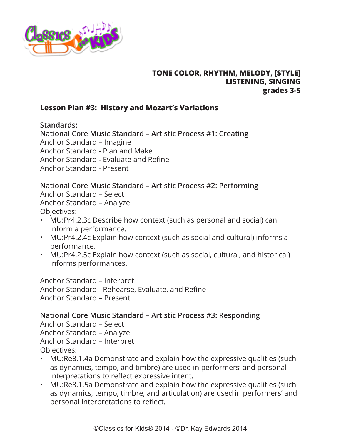<span id="page-17-0"></span>

## **TONE COLOR, RHYTHM, MELODY, [STYLE] LISTENING, SINGING grades 3-5**

#### **Lesson Plan #3: History and Mozart's Variations**

**Standards:**

**National Core Music Standard – Artistic Process #1: Creating** Anchor Standard – Imagine Anchor Standard - Plan and Make Anchor Standard - Evaluate and Refine Anchor Standard - Present

## **National Core Music Standard – Artistic Process #2: Performing**

Anchor Standard – Select Anchor Standard – Analyze Objectives:

- MU:Pr4.2.3c Describe how context (such as personal and social) can inform a performance.
- MU:Pr4.2.4c Explain how context (such as social and cultural) informs a performance.
- MU:Pr4.2.5c Explain how context (such as social, cultural, and historical) informs performances.

Anchor Standard – Interpret Anchor Standard - Rehearse, Evaluate, and Refine Anchor Standard – Present

**National Core Music Standard – Artistic Process #3: Responding**

Anchor Standard – Select Anchor Standard – Analyze Anchor Standard – Interpret Objectives:

- MU:Re8.1.4a Demonstrate and explain how the expressive qualities (such as dynamics, tempo, and timbre) are used in performers' and personal interpretations to reflect expressive intent.
- MU:Re8.1.5a Demonstrate and explain how the expressive qualities (such as dynamics, tempo, timbre, and articulation) are used in performers' and personal interpretations to reflect.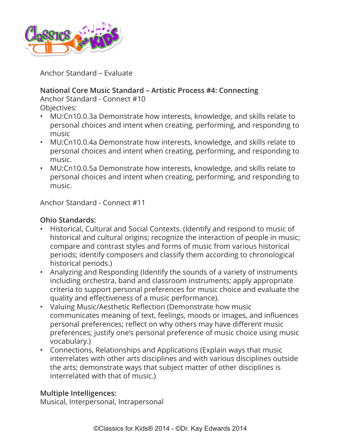

Anchor Standard – Evaluate

# **National Core Music Standard – Artistic Process #4: Connecting**

Anchor Standard - Connect #10 Objectives:

- MU:Cn10.0.3a Demonstrate how interests, knowledge, and skills relate to personal choices and intent when creating, performing, and responding to music
- MU:Cn10.0.4a Demonstrate how interests, knowledge, and skills relate to personal choices and intent when creating, performing, and responding to music.
- MU:Cn10.0.5a Demonstrate how interests, knowledge, and skills relate to personal choices and intent when creating, performing, and responding to music.

Anchor Standard - Connect #11

# **Ohio Standards:**

- Historical, Cultural and Social Contexts. (Identify and respond to music of historical and cultural origins; recognize the interaction of people in music; compare and contrast styles and forms of music from various historical periods; identify composers and classify them according to chronological historical periods.)
- Analyzing and Responding (Identify the sounds of a variety of instruments including orchestra, band and classroom instruments; apply appropriate criteria to support personal preferences for music choice and evaluate the quality and effectiveness of a music performance).
- Valuing Music/Aesthetic Reflection (Demonstrate how music communicates meaning of text, feelings, moods or images, and influences personal preferences; reflect on why others may have different music preferences; justify one's personal preference of music choice using music vocabulary.)
- Connections, Relationships and Applications (Explain ways that music interrelates with other arts disciplines and with various disciplines outside the arts; demonstrate ways that subject matter of other disciplines is interrelated with that of music.)

# **Multiple Intelligences:**

Musical, Interpersonal, Intrapersonal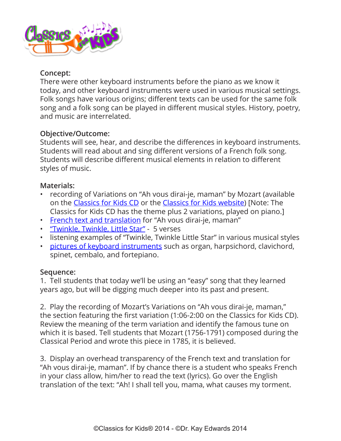

#### **Concept:**

There were other keyboard instruments before the piano as we know it today, and other keyboard instruments were used in various musical settings. Folk songs have various origins; different texts can be used for the same folk song and a folk song can be played in different musical styles. History, poetry, and music are interrelated.

## **Objective/Outcome:**

Students will see, hear, and describe the differences in keyboard instruments. Students will read about and sing different versions of a French folk song. Students will describe different musical elements in relation to different styles of music.

#### **Materials:**

- recording of Variations on "Ah vous dirai-je, maman" by Mozart (available on the [Classics for Kids CD](https://www.classicsforkids.com/more/cfk_cd.html) or the [Classics for Kids website](https://www.classicsforkids.com/)) [Note: The Classics for Kids CD has the theme plus 2 variations, played on piano.]
- [French text and translation](https://www.classicsforkids.com/downloads/mozart/English_Translation.pdf) for "Ah vous dirai-je, maman"
- ["Twinkle, Twinkle, Little Star"](https://www.classicsforkids.com/downloads/mozart/TwinkleComplete.pdf)  5 verses
- listening examples of "Twinkle, Twinkle Little Star" in various musical styles
- [pictures of keyboard instruments](https://www.classicsforkids.com/downloads/mozart/Piano_Instruments.pdf) such as organ, harpsichord, clavichord, spinet, cembalo, and fortepiano.

## **Sequence:**

1. Tell students that today we'll be using an "easy" song that they learned years ago, but will be digging much deeper into its past and present.

2. Play the recording of Mozart's Variations on "Ah vous dirai-je, maman," the section featuring the first variation (1:06-2:00 on the Classics for Kids CD). Review the meaning of the term variation and identify the famous tune on which it is based. Tell students that Mozart (1756-1791) composed during the Classical Period and wrote this piece in 1785, it is believed.

3. Display an overhead transparency of the French text and translation for "Ah vous dirai-je, maman". If by chance there is a student who speaks French in your class allow, him/her to read the text (lyrics). Go over the English translation of the text: "Ah! I shall tell you, mama, what causes my torment.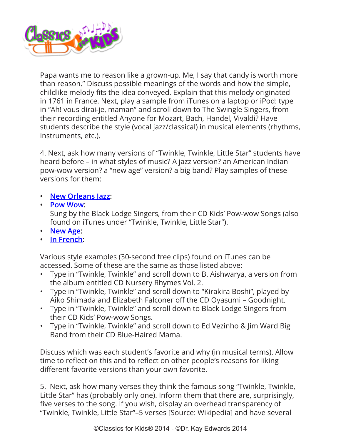

Papa wants me to reason like a grown-up. Me, I say that candy is worth more than reason." Discuss possible meanings of the words and how the simple, childlike melody fits the idea conveyed. Explain that this melody originated in 1761 in France. Next, play a sample from iTunes on a laptop or iPod: type in "Ah! vous dirai-je, maman" and scroll down to The Swingle Singers, from their recording entitled Anyone for Mozart, Bach, Handel, Vivaldi? Have students describe the style (vocal jazz/classical) in musical elements (rhythms, instruments, etc.).

4. Next, ask how many versions of "Twinkle, Twinkle, Little Star" students have heard before – in what styles of music? A jazz version? an American Indian pow-wow version? a "new age" version? a big band? Play samples of these versions for them:

- **• [New Orleans Jazz:](http://www.cduniverse.com/productinfo.asp?pid=1154821&BAB=E)**
- **• [Pow Wow:](http://www.cduniverse.com/productinfo.asp?pid=1041430&BAB=E)**

Sung by the Black Lodge Singers, from their CD Kids' Pow-wow Songs (also found on iTunes under "Twinkle, Twinkle, Little Star").

- **• [New Age:](http://www.cduniverse.com/productinfo.asp?pid=1135257&BAB=E)**
- **• [In French](http://www.cduniverse.com/productinfo.asp?pid=1119223&BAB=E):**

Various style examples (30-second free clips) found on iTunes can be accessed. Some of these are the same as those listed above:

- Type in "Twinkle, Twinkle" and scroll down to B. Aishwarya, a version from the album entitled CD Nursery Rhymes Vol. 2.
- Type in "Twinkle, Twinkle" and scroll down to "Kirakira Boshi", played by Aiko Shimada and Elizabeth Falconer off the CD Oyasumi – Goodnight.
- Type in "Twinkle, Twinkle" and scroll down to Black Lodge Singers from their CD Kids' Pow-wow Songs.
- Type in "Twinkle, Twinkle" and scroll down to Ed Vezinho & Jim Ward Big Band from their CD Blue-Haired Mama.

Discuss which was each student's favorite and why (in musical terms). Allow time to reflect on this and to reflect on other people's reasons for liking different favorite versions than your own favorite.

5. Next, ask how many verses they think the famous song "Twinkle, Twinkle, Little Star" has (probably only one). Inform them that there are, surprisingly, five verses to the song. If you wish, display an overhead transparency of "Twinkle, Twinkle, Little Star"–5 verses [Source: Wikipedia] and have several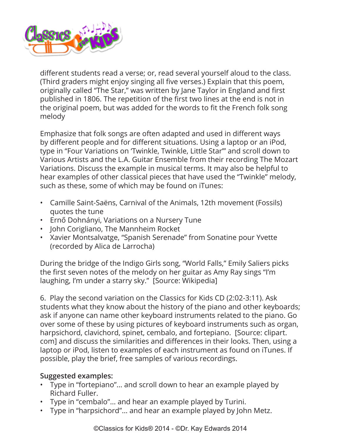

different students read a verse; or, read several yourself aloud to the class. (Third graders might enjoy singing all five verses.) Explain that this poem, originally called "The Star," was written by Jane Taylor in England and first published in 1806. The repetition of the first two lines at the end is not in the original poem, but was added for the words to fit the French folk song melody

Emphasize that folk songs are often adapted and used in different ways by different people and for different situations. Using a laptop or an iPod, type in "Four Variations on 'Twinkle, Twinkle, Little Star'" and scroll down to Various Artists and the L.A. Guitar Ensemble from their recording The Mozart Variations. Discuss the example in musical terms. It may also be helpful to hear examples of other classical pieces that have used the "Twinkle" melody, such as these, some of which may be found on iTunes:

- Camille Saint-Saëns, Carnival of the Animals, 12th movement (Fossils) quotes the tune
- Ernő Dohnányi, Variations on a Nursery Tune
- John Corigliano, The Mannheim Rocket
- Xavier Montsalvatge, "Spanish Serenade" from Sonatine pour Yvette (recorded by Alica de Larrocha)

During the bridge of the Indigo Girls song, "World Falls," Emily Saliers picks the first seven notes of the melody on her guitar as Amy Ray sings "I'm laughing, I'm under a starry sky." [Source: Wikipedia]

6. Play the second variation on the Classics for Kids CD (2:02-3:11). Ask students what they know about the history of the piano and other keyboards; ask if anyone can name other keyboard instruments related to the piano. Go over some of these by using pictures of keyboard instruments such as organ, harpsichord, clavichord, spinet, cembalo, and fortepiano. [Source: clipart. com] and discuss the similarities and differences in their looks. Then, using a laptop or iPod, listen to examples of each instrument as found on iTunes. If possible, play the brief, free samples of various recordings.

## **Suggested examples:**

- Type in "fortepiano"... and scroll down to hear an example played by Richard Fuller.
- Type in "cembalo"... and hear an example played by Turini.
- Type in "harpsichord"... and hear an example played by John Metz.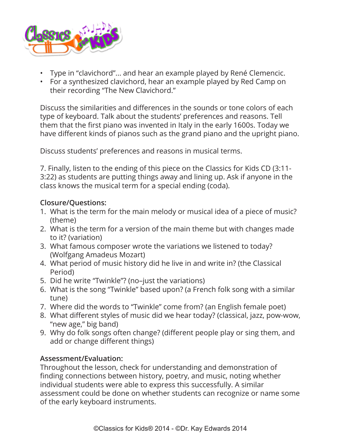

- Type in "clavichord"... and hear an example played by René Clemencic.
- For a synthesized clavichord, hear an example played by Red Camp on their recording "The New Clavichord."

Discuss the similarities and differences in the sounds or tone colors of each type of keyboard. Talk about the students' preferences and reasons. Tell them that the first piano was invented in Italy in the early 1600s. Today we have different kinds of pianos such as the grand piano and the upright piano.

Discuss students' preferences and reasons in musical terms.

7. Finally, listen to the ending of this piece on the Classics for Kids CD (3:11- 3:22) as students are putting things away and lining up. Ask if anyone in the class knows the musical term for a special ending (coda).

#### **Closure/Questions:**

- 1. What is the term for the main melody or musical idea of a piece of music? (theme)
- 2. What is the term for a version of the main theme but with changes made to it? (variation)
- 3. What famous composer wrote the variations we listened to today? (Wolfgang Amadeus Mozart)
- 4. What period of music history did he live in and write in? (the Classical Period)
- 5. Did he write "Twinkle"? (no–just the variations)
- 6. What is the song "Twinkle" based upon? (a French folk song with a similar tune)
- 7. Where did the words to "Twinkle" come from? (an English female poet)
- 8. What different styles of music did we hear today? (classical, jazz, pow-wow, "new age," big band)
- 9. Why do folk songs often change? (different people play or sing them, and add or change different things)

## **Assessment/Evaluation:**

Throughout the lesson, check for understanding and demonstration of finding connections between history, poetry, and music, noting whether individual students were able to express this successfully. A similar assessment could be done on whether students can recognize or name some of the early keyboard instruments.